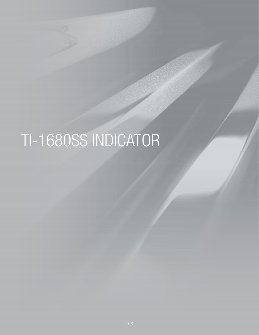# TI-1680SS INDICATOR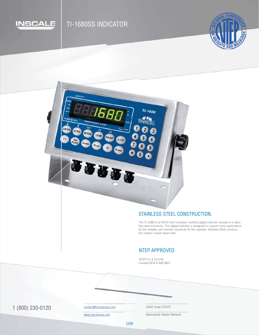

# TI-1680SS INDICATOR

CAPACITY:

ASS III/IIII

ZERO

MODE

TARE

Over

PRINT

ID

**BUUBB** 

 $C/CE$ 

Enter

UNITS



### STAINLESS STEEL CONSTRUCTION.

The TI-1680 is an NTEP and Canadian certified digital indicator housed in a stainless steel enclosure. This digital indicator is designed to support many applications for the installer, yet maintain simplicity for the operator. Stainless Steel construction makes it wash-down safe.

#### NTEP APPROVED

NTEP CC # 10-078 Canada NOA # AM-5801

TI-1680

3

6

1 (800) 230-0120 Contact@inscaleusa.com CAGE Code 07GT5

contact@inscaleusa.com

www.inscaleusa.com

Nationwide Dealer Network

109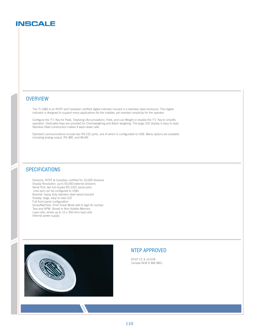## **INSCALE**

#### **OVERVIEW**

The TI-1680 is an NTEP and Canadian certified digital indicator housed in a stainless steel enclosure. This digital indicator is designed to support many applications for the installer, yet maintain simplicity for the operator.

Configure the 'F1' Key for Peak, Totalizing (Accumulation), Hold, and Live Weight or disable the 'F1' Key to simplify operation. Dedicated keys are provided for Checkweighing and Batch weighing. The large LED display is easy to read. Stainless Steel construction makes it wash-down safe.

Standard communications include two RS-232 ports, one of which is configurable to USB. Many options are available including analog output, RS-485, and WLAN.

#### **SPECIFICATIONS**

Divisions: NTEP & Canadian certified for 10,000 divisions Display Resolution: up to 50,000 external divisions Serial Port: two full duplex RS-232C serial ports (one port can be configured to USB) Bracket: heavy duty stainless steel swivel bracket Display: large, easy to read LED Full front panel configuration Gross/Net/Tare- Print Ticket Mode with 6 digit ID number Tare and APW- Stored in Non-Volatile Memory Load cells: drives up to 12 x 350 ohm load cells Internal power supply



#### NTEP APPROVED

NTEP CC # 10-078 Canada NOA # AM-5801